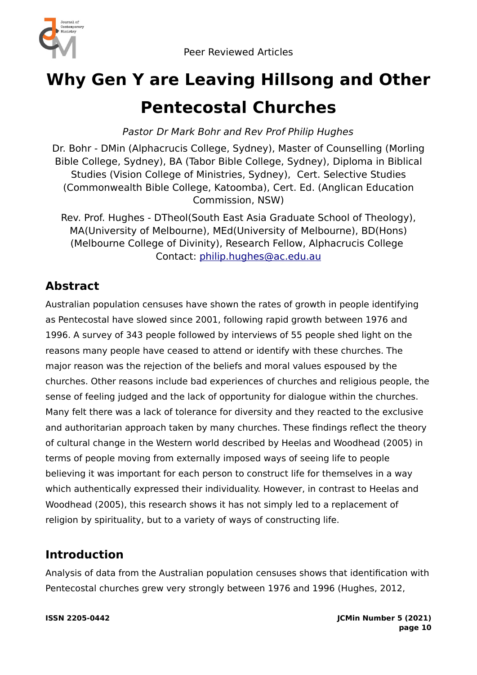

# **Why Gen Y are Leaving Hillsong and Other Pentecostal Churches**

Pastor Dr Mark Bohr and Rev Prof Philip Hughes

Dr. Bohr - DMin (Alphacrucis College, Sydney), Master of Counselling (Morling Bible College, Sydney), BA (Tabor Bible College, Sydney), Diploma in Biblical Studies (Vision College of Ministries, Sydney), Cert. Selective Studies (Commonwealth Bible College, Katoomba), Cert. Ed. (Anglican Education Commission, NSW)

Rev. Prof. Hughes - DTheol(South East Asia Graduate School of Theology), MA(University of Melbourne), MEd(University of Melbourne), BD(Hons) (Melbourne College of Divinity), Research Fellow, Alphacrucis College Contact: [philip.hughes@ac.edu.au](mailto:philip.hughes@ac.edu.au)

# **Abstract**

Australian population censuses have shown the rates of growth in people identifying as Pentecostal have slowed since 2001, following rapid growth between 1976 and 1996. A survey of 343 people followed by interviews of 55 people shed light on the reasons many people have ceased to attend or identify with these churches. The major reason was the rejection of the beliefs and moral values espoused by the churches. Other reasons include bad experiences of churches and religious people, the sense of feeling judged and the lack of opportunity for dialogue within the churches. Many felt there was a lack of tolerance for diversity and they reacted to the exclusive and authoritarian approach taken by many churches. These findings reflect the theory of cultural change in the Western world described by Heelas and Woodhead (2005) in terms of people moving from externally imposed ways of seeing life to people believing it was important for each person to construct life for themselves in a way which authentically expressed their individuality. However, in contrast to Heelas and Woodhead (2005), this research shows it has not simply led to a replacement of religion by spirituality, but to a variety of ways of constructing life.

# **Introduction**

Analysis of data from the Australian population censuses shows that identification with Pentecostal churches grew very strongly between 1976 and 1996 (Hughes, 2012,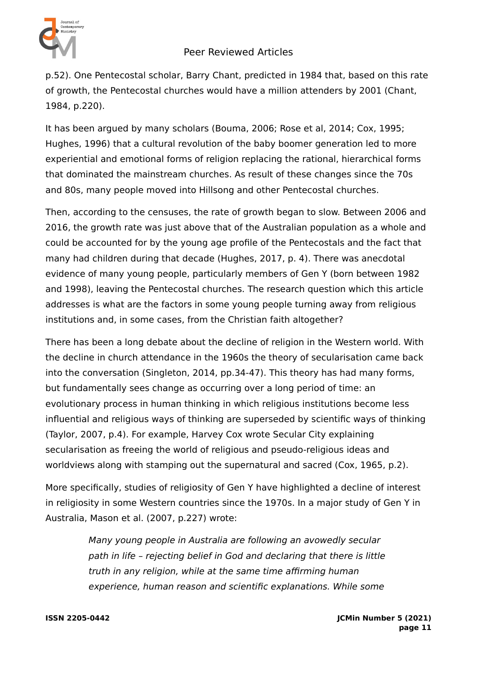

p.52). One Pentecostal scholar, Barry Chant, predicted in 1984 that, based on this rate of growth, the Pentecostal churches would have a million attenders by 2001 (Chant, 1984, p.220).

It has been argued by many scholars (Bouma, 2006; Rose et al, 2014; Cox, 1995; Hughes, 1996) that a cultural revolution of the baby boomer generation led to more experiential and emotional forms of religion replacing the rational, hierarchical forms that dominated the mainstream churches. As result of these changes since the 70s and 80s, many people moved into Hillsong and other Pentecostal churches.

Then, according to the censuses, the rate of growth began to slow. Between 2006 and 2016, the growth rate was just above that of the Australian population as a whole and could be accounted for by the young age profile of the Pentecostals and the fact that many had children during that decade (Hughes, 2017, p. 4). There was anecdotal evidence of many young people, particularly members of Gen Y (born between 1982 and 1998), leaving the Pentecostal churches. The research question which this article addresses is what are the factors in some young people turning away from religious institutions and, in some cases, from the Christian faith altogether?

There has been a long debate about the decline of religion in the Western world. With the decline in church attendance in the 1960s the theory of secularisation came back into the conversation (Singleton, 2014, pp.34-47). This theory has had many forms, but fundamentally sees change as occurring over a long period of time: an evolutionary process in human thinking in which religious institutions become less influential and religious ways of thinking are superseded by scientific ways of thinking (Taylor, 2007, p.4). For example, Harvey Cox wrote Secular City explaining secularisation as freeing the world of religious and pseudo-religious ideas and worldviews along with stamping out the supernatural and sacred (Cox, 1965, p.2).

More specifically, studies of religiosity of Gen Y have highlighted a decline of interest in religiosity in some Western countries since the 1970s. In a major study of Gen Y in Australia, Mason et al. (2007, p.227) wrote:

> Many young people in Australia are following an avowedly secular path in life – rejecting belief in God and declaring that there is little truth in any religion, while at the same time affirming human experience, human reason and scientific explanations. While some

**ISSN 2205-0442 JCMin Number 5 (2021) page 11**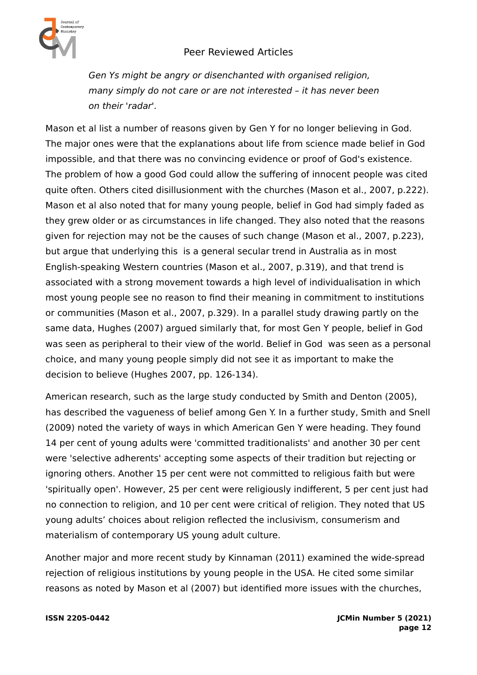

Gen Ys might be angry or disenchanted with organised religion, many simply do not care or are not interested – it has never been on their 'radar'.

Mason et al list a number of reasons given by Gen Y for no longer believing in God. The major ones were that the explanations about life from science made belief in God impossible, and that there was no convincing evidence or proof of God's existence. The problem of how a good God could allow the suffering of innocent people was cited quite often. Others cited disillusionment with the churches (Mason et al., 2007, p.222). Mason et al also noted that for many young people, belief in God had simply faded as they grew older or as circumstances in life changed. They also noted that the reasons given for rejection may not be the causes of such change (Mason et al., 2007, p.223), but argue that underlying this is a general secular trend in Australia as in most English-speaking Western countries (Mason et al., 2007, p.319), and that trend is associated with a strong movement towards a high level of individualisation in which most young people see no reason to find their meaning in commitment to institutions or communities (Mason et al., 2007, p.329). In a parallel study drawing partly on the same data, Hughes (2007) argued similarly that, for most Gen Y people, belief in God was seen as peripheral to their view of the world. Belief in God was seen as a personal choice, and many young people simply did not see it as important to make the decision to believe (Hughes 2007, pp. 126-134).

American research, such as the large study conducted by Smith and Denton (2005), has described the vagueness of belief among Gen Y. In a further study, Smith and Snell (2009) noted the variety of ways in which American Gen Y were heading. They found 14 per cent of young adults were 'committed traditionalists' and another 30 per cent were 'selective adherents' accepting some aspects of their tradition but rejecting or ignoring others. Another 15 per cent were not committed to religious faith but were 'spiritually open'. However, 25 per cent were religiously indifferent, 5 per cent just had no connection to religion, and 10 per cent were critical of religion. They noted that US young adults' choices about religion reflected the inclusivism, consumerism and materialism of contemporary US young adult culture.

Another major and more recent study by Kinnaman (2011) examined the wide-spread rejection of religious institutions by young people in the USA. He cited some similar reasons as noted by Mason et al (2007) but identified more issues with the churches,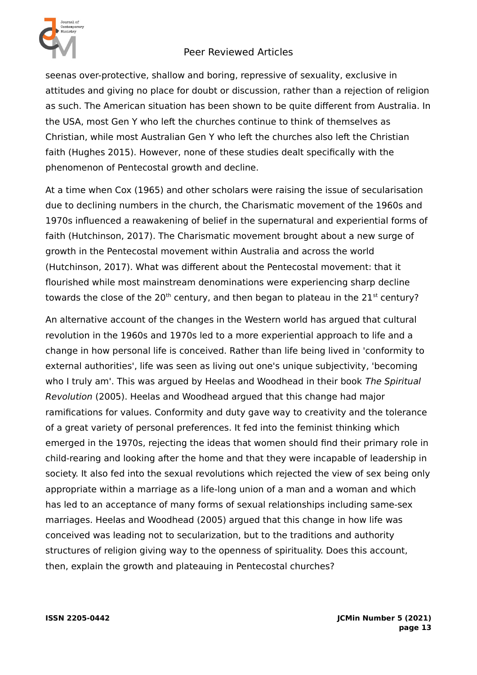

seenas over-protective, shallow and boring, repressive of sexuality, exclusive in attitudes and giving no place for doubt or discussion, rather than a rejection of religion as such. The American situation has been shown to be quite different from Australia. In the USA, most Gen Y who left the churches continue to think of themselves as Christian, while most Australian Gen Y who left the churches also left the Christian faith (Hughes 2015). However, none of these studies dealt specifically with the phenomenon of Pentecostal growth and decline.

At a time when Cox (1965) and other scholars were raising the issue of secularisation due to declining numbers in the church, the Charismatic movement of the 1960s and 1970s influenced a reawakening of belief in the supernatural and experiential forms of faith (Hutchinson, 2017). The Charismatic movement brought about a new surge of growth in the Pentecostal movement within Australia and across the world (Hutchinson, 2017). What was different about the Pentecostal movement: that it flourished while most mainstream denominations were experiencing sharp decline towards the close of the  $20<sup>th</sup>$  century, and then began to plateau in the  $21<sup>st</sup>$  century?

An alternative account of the changes in the Western world has argued that cultural revolution in the 1960s and 1970s led to a more experiential approach to life and a change in how personal life is conceived. Rather than life being lived in 'conformity to external authorities', life was seen as living out one's unique subjectivity, 'becoming who I truly am'. This was argued by Heelas and Woodhead in their book The Spiritual Revolution (2005). Heelas and Woodhead argued that this change had major ramifications for values. Conformity and duty gave way to creativity and the tolerance of a great variety of personal preferences. It fed into the feminist thinking which emerged in the 1970s, rejecting the ideas that women should find their primary role in child-rearing and looking after the home and that they were incapable of leadership in society. It also fed into the sexual revolutions which rejected the view of sex being only appropriate within a marriage as a life-long union of a man and a woman and which has led to an acceptance of many forms of sexual relationships including same-sex marriages. Heelas and Woodhead (2005) argued that this change in how life was conceived was leading not to secularization, but to the traditions and authority structures of religion giving way to the openness of spirituality. Does this account, then, explain the growth and plateauing in Pentecostal churches?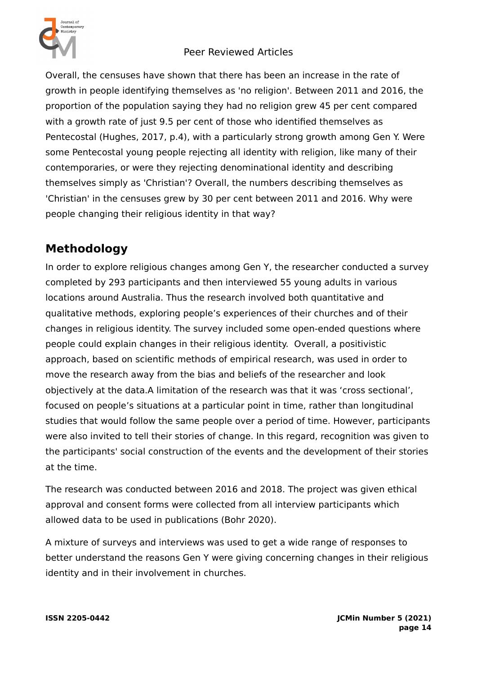

Overall, the censuses have shown that there has been an increase in the rate of growth in people identifying themselves as 'no religion'. Between 2011 and 2016, the proportion of the population saying they had no religion grew 45 per cent compared with a growth rate of just 9.5 per cent of those who identified themselves as Pentecostal (Hughes, 2017, p.4), with a particularly strong growth among Gen Y. Were some Pentecostal young people rejecting all identity with religion, like many of their contemporaries, or were they rejecting denominational identity and describing themselves simply as 'Christian'? Overall, the numbers describing themselves as 'Christian' in the censuses grew by 30 per cent between 2011 and 2016. Why were people changing their religious identity in that way?

# **Methodology**

In order to explore religious changes among Gen Y, the researcher conducted a survey completed by 293 participants and then interviewed 55 young adults in various locations around Australia. Thus the research involved both quantitative and qualitative methods, exploring people's experiences of their churches and of their changes in religious identity. The survey included some open-ended questions where people could explain changes in their religious identity. Overall, a positivistic approach, based on scientific methods of empirical research, was used in order to move the research away from the bias and beliefs of the researcher and look objectively at the data.A limitation of the research was that it was 'cross sectional', focused on people's situations at a particular point in time, rather than longitudinal studies that would follow the same people over a period of time. However, participants were also invited to tell their stories of change. In this regard, recognition was given to the participants' social construction of the events and the development of their stories at the time.

The research was conducted between 2016 and 2018. The project was given ethical approval and consent forms were collected from all interview participants which allowed data to be used in publications (Bohr 2020).

A mixture of surveys and interviews was used to get a wide range of responses to better understand the reasons Gen Y were giving concerning changes in their religious identity and in their involvement in churches.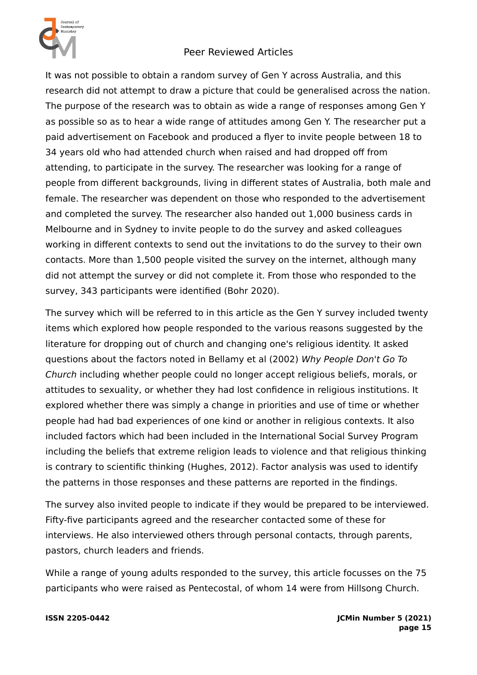

It was not possible to obtain a random survey of Gen Y across Australia, and this research did not attempt to draw a picture that could be generalised across the nation. The purpose of the research was to obtain as wide a range of responses among Gen Y as possible so as to hear a wide range of attitudes among Gen Y. The researcher put a paid advertisement on Facebook and produced a flyer to invite people between 18 to 34 years old who had attended church when raised and had dropped off from attending, to participate in the survey. The researcher was looking for a range of people from different backgrounds, living in different states of Australia, both male and female. The researcher was dependent on those who responded to the advertisement and completed the survey. The researcher also handed out 1,000 business cards in Melbourne and in Sydney to invite people to do the survey and asked colleagues working in different contexts to send out the invitations to do the survey to their own contacts. More than 1,500 people visited the survey on the internet, although many did not attempt the survey or did not complete it. From those who responded to the survey, 343 participants were identified (Bohr 2020).

The survey which will be referred to in this article as the Gen Y survey included twenty items which explored how people responded to the various reasons suggested by the literature for dropping out of church and changing one's religious identity. It asked questions about the factors noted in Bellamy et al (2002) Why People Don't Go To Church including whether people could no longer accept religious beliefs, morals, or attitudes to sexuality, or whether they had lost confidence in religious institutions. It explored whether there was simply a change in priorities and use of time or whether people had had bad experiences of one kind or another in religious contexts. It also included factors which had been included in the International Social Survey Program including the beliefs that extreme religion leads to violence and that religious thinking is contrary to scientific thinking (Hughes, 2012). Factor analysis was used to identify the patterns in those responses and these patterns are reported in the findings.

The survey also invited people to indicate if they would be prepared to be interviewed. Fifty-five participants agreed and the researcher contacted some of these for interviews. He also interviewed others through personal contacts, through parents, pastors, church leaders and friends.

While a range of young adults responded to the survey, this article focusses on the 75 participants who were raised as Pentecostal, of whom 14 were from Hillsong Church.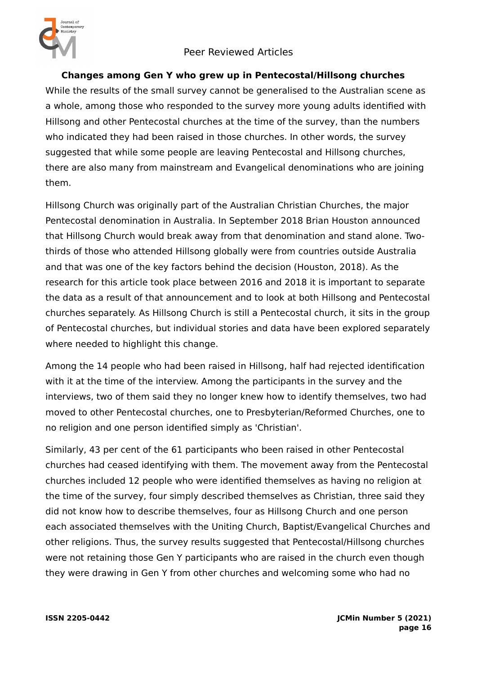



### **Changes among Gen Y who grew up in Pentecostal/Hillsong churches**

While the results of the small survey cannot be generalised to the Australian scene as a whole, among those who responded to the survey more young adults identified with Hillsong and other Pentecostal churches at the time of the survey, than the numbers who indicated they had been raised in those churches. In other words, the survey suggested that while some people are leaving Pentecostal and Hillsong churches, there are also many from mainstream and Evangelical denominations who are joining them.

Hillsong Church was originally part of the Australian Christian Churches, the major Pentecostal denomination in Australia. In September 2018 Brian Houston announced that Hillsong Church would break away from that denomination and stand alone. Twothirds of those who attended Hillsong globally were from countries outside Australia and that was one of the key factors behind the decision (Houston, 2018). As the research for this article took place between 2016 and 2018 it is important to separate the data as a result of that announcement and to look at both Hillsong and Pentecostal churches separately. As Hillsong Church is still a Pentecostal church, it sits in the group of Pentecostal churches, but individual stories and data have been explored separately where needed to highlight this change.

Among the 14 people who had been raised in Hillsong, half had rejected identification with it at the time of the interview. Among the participants in the survey and the interviews, two of them said they no longer knew how to identify themselves, two had moved to other Pentecostal churches, one to Presbyterian/Reformed Churches, one to no religion and one person identified simply as 'Christian'.

Similarly, 43 per cent of the 61 participants who been raised in other Pentecostal churches had ceased identifying with them. The movement away from the Pentecostal churches included 12 people who were identified themselves as having no religion at the time of the survey, four simply described themselves as Christian, three said they did not know how to describe themselves, four as Hillsong Church and one person each associated themselves with the Uniting Church, Baptist/Evangelical Churches and other religions. Thus, the survey results suggested that Pentecostal/Hillsong churches were not retaining those Gen Y participants who are raised in the church even though they were drawing in Gen Y from other churches and welcoming some who had no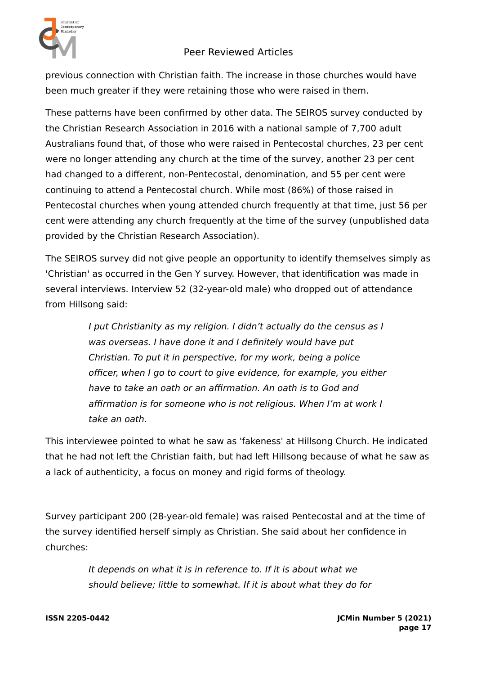

previous connection with Christian faith. The increase in those churches would have been much greater if they were retaining those who were raised in them.

These patterns have been confirmed by other data. The SEIROS survey conducted by the Christian Research Association in 2016 with a national sample of 7,700 adult Australians found that, of those who were raised in Pentecostal churches, 23 per cent were no longer attending any church at the time of the survey, another 23 per cent had changed to a different, non-Pentecostal, denomination, and 55 per cent were continuing to attend a Pentecostal church. While most (86%) of those raised in Pentecostal churches when young attended church frequently at that time, just 56 per cent were attending any church frequently at the time of the survey (unpublished data provided by the Christian Research Association).

The SEIROS survey did not give people an opportunity to identify themselves simply as 'Christian' as occurred in the Gen Y survey. However, that identification was made in several interviews. Interview 52 (32-year-old male) who dropped out of attendance from Hillsong said:

> I put Christianity as my religion. I didn't actually do the census as I was overseas. I have done it and I definitely would have put Christian. To put it in perspective, for my work, being a police officer, when I go to court to give evidence, for example, you either have to take an oath or an affirmation. An oath is to God and affirmation is for someone who is not religious. When I'm at work I take an oath.

This interviewee pointed to what he saw as 'fakeness' at Hillsong Church. He indicated that he had not left the Christian faith, but had left Hillsong because of what he saw as a lack of authenticity, a focus on money and rigid forms of theology.

Survey participant 200 (28-year-old female) was raised Pentecostal and at the time of the survey identified herself simply as Christian. She said about her confidence in churches:

> It depends on what it is in reference to. If it is about what we should believe; little to somewhat. If it is about what they do for

**ISSN 2205-0442 JCMin Number 5 (2021) page 17**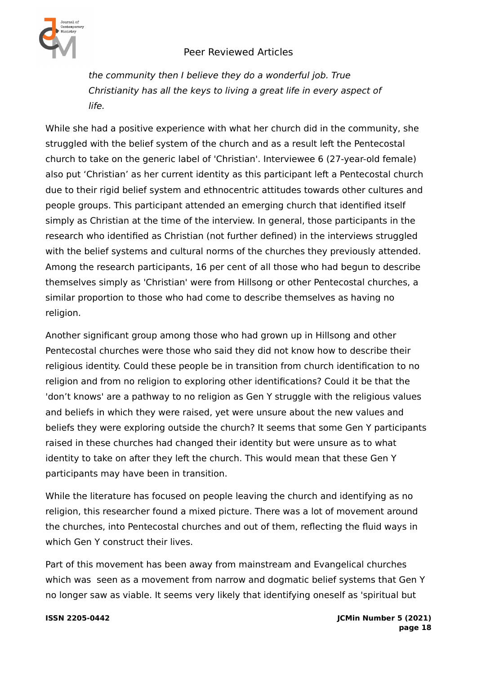

the community then I believe they do a wonderful job. True Christianity has all the keys to living a great life in every aspect of life.

While she had a positive experience with what her church did in the community, she struggled with the belief system of the church and as a result left the Pentecostal church to take on the generic label of 'Christian'. Interviewee 6 (27-year-old female) also put 'Christian' as her current identity as this participant left a Pentecostal church due to their rigid belief system and ethnocentric attitudes towards other cultures and people groups. This participant attended an emerging church that identified itself simply as Christian at the time of the interview. In general, those participants in the research who identified as Christian (not further defined) in the interviews struggled with the belief systems and cultural norms of the churches they previously attended. Among the research participants, 16 per cent of all those who had begun to describe themselves simply as 'Christian' were from Hillsong or other Pentecostal churches, a similar proportion to those who had come to describe themselves as having no religion.

Another significant group among those who had grown up in Hillsong and other Pentecostal churches were those who said they did not know how to describe their religious identity. Could these people be in transition from church identification to no religion and from no religion to exploring other identifications? Could it be that the 'don't knows' are a pathway to no religion as Gen Y struggle with the religious values and beliefs in which they were raised, yet were unsure about the new values and beliefs they were exploring outside the church? It seems that some Gen Y participants raised in these churches had changed their identity but were unsure as to what identity to take on after they left the church. This would mean that these Gen Y participants may have been in transition.

While the literature has focused on people leaving the church and identifying as no religion, this researcher found a mixed picture. There was a lot of movement around the churches, into Pentecostal churches and out of them, reflecting the fluid ways in which Gen Y construct their lives.

Part of this movement has been away from mainstream and Evangelical churches which was seen as a movement from narrow and dogmatic belief systems that Gen Y no longer saw as viable. It seems very likely that identifying oneself as 'spiritual but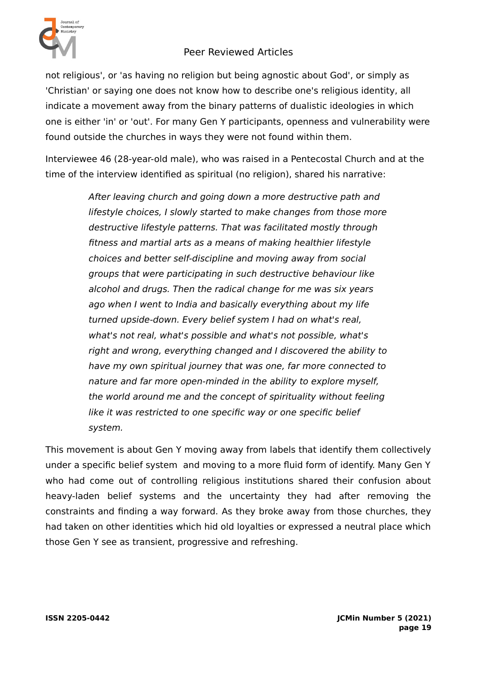

not religious', or 'as having no religion but being agnostic about God', or simply as 'Christian' or saying one does not know how to describe one's religious identity, all indicate a movement away from the binary patterns of dualistic ideologies in which one is either 'in' or 'out'. For many Gen Y participants, openness and vulnerability were found outside the churches in ways they were not found within them.

Interviewee 46 (28-year-old male), who was raised in a Pentecostal Church and at the time of the interview identified as spiritual (no religion), shared his narrative:

> After leaving church and going down a more destructive path and lifestyle choices, I slowly started to make changes from those more destructive lifestyle patterns. That was facilitated mostly through fitness and martial arts as a means of making healthier lifestyle choices and better self-discipline and moving away from social groups that were participating in such destructive behaviour like alcohol and drugs. Then the radical change for me was six years ago when I went to India and basically everything about my life turned upside-down. Every belief system I had on what's real, what's not real, what's possible and what's not possible, what's right and wrong, everything changed and I discovered the ability to have my own spiritual journey that was one, far more connected to nature and far more open-minded in the ability to explore myself, the world around me and the concept of spirituality without feeling like it was restricted to one specific way or one specific belief system.

This movement is about Gen Y moving away from labels that identify them collectively under a specific belief system and moving to a more fluid form of identify. Many Gen Y who had come out of controlling religious institutions shared their confusion about heavy-laden belief systems and the uncertainty they had after removing the constraints and finding a way forward. As they broke away from those churches, they had taken on other identities which hid old loyalties or expressed a neutral place which those Gen Y see as transient, progressive and refreshing.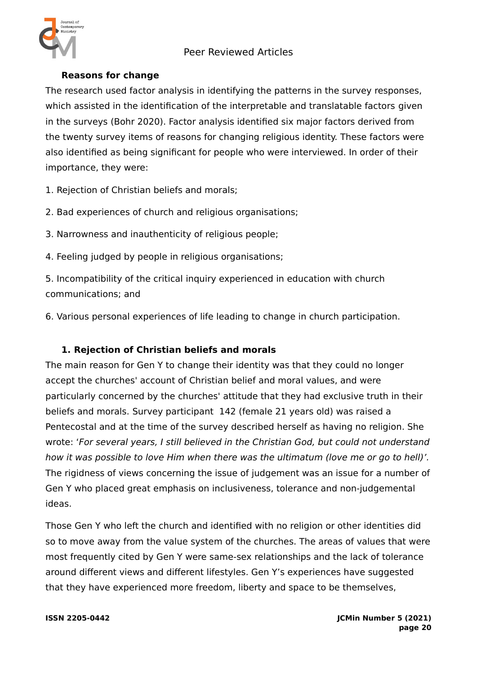

### **Reasons for change**

The research used factor analysis in identifying the patterns in the survey responses, which assisted in the identification of the interpretable and translatable factors given in the surveys (Bohr 2020). Factor analysis identified six major factors derived from the twenty survey items of reasons for changing religious identity. These factors were also identified as being significant for people who were interviewed. In order of their importance, they were:

1. Rejection of Christian beliefs and morals;

2. Bad experiences of church and religious organisations;

3. Narrowness and inauthenticity of religious people;

4. Feeling judged by people in religious organisations;

5. Incompatibility of the critical inquiry experienced in education with church communications; and

6. Various personal experiences of life leading to change in church participation.

### **1. Rejection of Christian beliefs and morals**

The main reason for Gen Y to change their identity was that they could no longer accept the churches' account of Christian belief and moral values, and were particularly concerned by the churches' attitude that they had exclusive truth in their beliefs and morals. Survey participant 142 (female 21 years old) was raised a Pentecostal and at the time of the survey described herself as having no religion. She wrote: 'For several years, I still believed in the Christian God, but could not understand how it was possible to love Him when there was the ultimatum (love me or go to hell)'. The rigidness of views concerning the issue of judgement was an issue for a number of Gen Y who placed great emphasis on inclusiveness, tolerance and non-judgemental ideas.

Those Gen Y who left the church and identified with no religion or other identities did so to move away from the value system of the churches. The areas of values that were most frequently cited by Gen Y were same-sex relationships and the lack of tolerance around different views and different lifestyles. Gen Y's experiences have suggested that they have experienced more freedom, liberty and space to be themselves,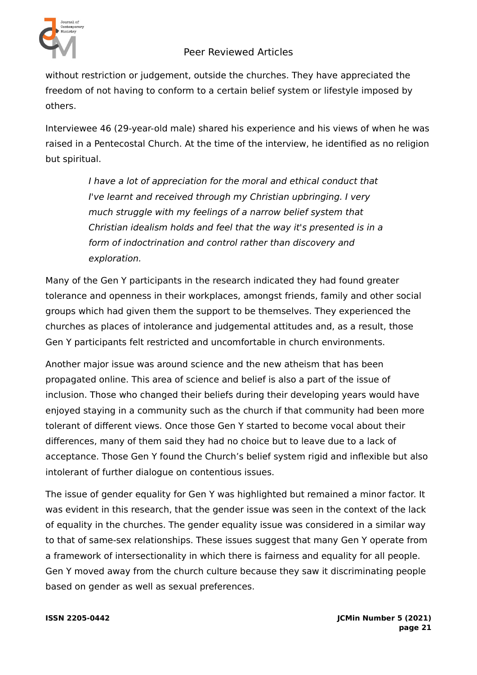

without restriction or judgement, outside the churches. They have appreciated the freedom of not having to conform to a certain belief system or lifestyle imposed by others.

Interviewee 46 (29-year-old male) shared his experience and his views of when he was raised in a Pentecostal Church. At the time of the interview, he identified as no religion but spiritual.

> I have a lot of appreciation for the moral and ethical conduct that I've learnt and received through my Christian upbringing. I very much struggle with my feelings of a narrow belief system that Christian idealism holds and feel that the way it's presented is in a form of indoctrination and control rather than discovery and exploration.

Many of the Gen Y participants in the research indicated they had found greater tolerance and openness in their workplaces, amongst friends, family and other social groups which had given them the support to be themselves. They experienced the churches as places of intolerance and judgemental attitudes and, as a result, those Gen Y participants felt restricted and uncomfortable in church environments.

Another major issue was around science and the new atheism that has been propagated online. This area of science and belief is also a part of the issue of inclusion. Those who changed their beliefs during their developing years would have enjoyed staying in a community such as the church if that community had been more tolerant of different views. Once those Gen Y started to become vocal about their differences, many of them said they had no choice but to leave due to a lack of acceptance. Those Gen Y found the Church's belief system rigid and inflexible but also intolerant of further dialogue on contentious issues.

The issue of gender equality for Gen Y was highlighted but remained a minor factor. It was evident in this research, that the gender issue was seen in the context of the lack of equality in the churches. The gender equality issue was considered in a similar way to that of same-sex relationships. These issues suggest that many Gen Y operate from a framework of intersectionality in which there is fairness and equality for all people. Gen Y moved away from the church culture because they saw it discriminating people based on gender as well as sexual preferences.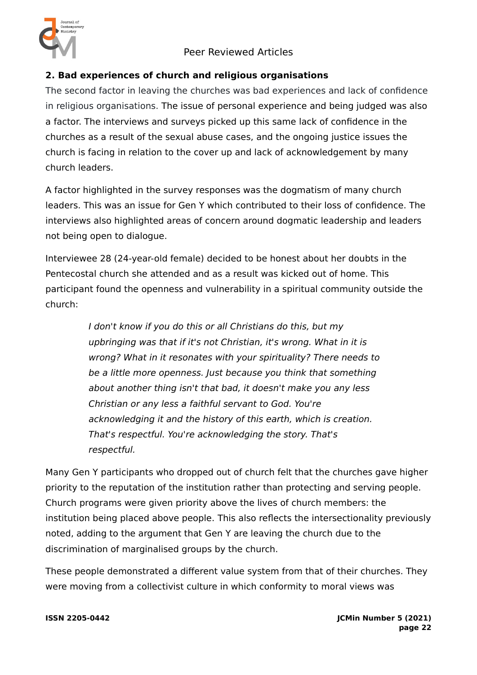

### **2. Bad experiences of church and religious organisations**

The second factor in leaving the churches was bad experiences and lack of confidence in religious organisations. The issue of personal experience and being judged was also a factor. The interviews and surveys picked up this same lack of confidence in the churches as a result of the sexual abuse cases, and the ongoing justice issues the church is facing in relation to the cover up and lack of acknowledgement by many church leaders.

A factor highlighted in the survey responses was the dogmatism of many church leaders. This was an issue for Gen Y which contributed to their loss of confidence. The interviews also highlighted areas of concern around dogmatic leadership and leaders not being open to dialogue.

Interviewee 28 (24-year-old female) decided to be honest about her doubts in the Pentecostal church she attended and as a result was kicked out of home. This participant found the openness and vulnerability in a spiritual community outside the church:

> I don't know if you do this or all Christians do this, but my upbringing was that if it's not Christian, it's wrong. What in it is wrong? What in it resonates with your spirituality? There needs to be a little more openness. Just because you think that something about another thing isn't that bad, it doesn't make you any less Christian or any less a faithful servant to God. You're acknowledging it and the history of this earth, which is creation. That's respectful. You're acknowledging the story. That's respectful.

Many Gen Y participants who dropped out of church felt that the churches gave higher priority to the reputation of the institution rather than protecting and serving people. Church programs were given priority above the lives of church members: the institution being placed above people. This also reflects the intersectionality previously noted, adding to the argument that Gen Y are leaving the church due to the discrimination of marginalised groups by the church.

These people demonstrated a different value system from that of their churches. They were moving from a collectivist culture in which conformity to moral views was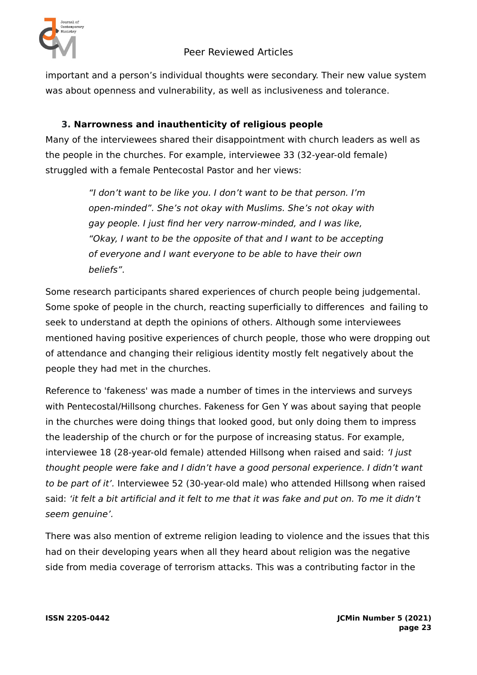

important and a person's individual thoughts were secondary. Their new value system was about openness and vulnerability, as well as inclusiveness and tolerance.

### **3. Narrowness and inauthenticity of religious people**

Many of the interviewees shared their disappointment with church leaders as well as the people in the churches. For example, interviewee 33 (32-year-old female) struggled with a female Pentecostal Pastor and her views:

> "I don't want to be like you. I don't want to be that person. I'm open-minded". She's not okay with Muslims. She's not okay with gay people. I just find her very narrow-minded, and I was like, "Okay, I want to be the opposite of that and I want to be accepting of everyone and I want everyone to be able to have their own beliefs".

Some research participants shared experiences of church people being judgemental. Some spoke of people in the church, reacting superficially to differences and failing to seek to understand at depth the opinions of others. Although some interviewees mentioned having positive experiences of church people, those who were dropping out of attendance and changing their religious identity mostly felt negatively about the people they had met in the churches.

Reference to 'fakeness' was made a number of times in the interviews and surveys with Pentecostal/Hillsong churches. Fakeness for Gen Y was about saying that people in the churches were doing things that looked good, but only doing them to impress the leadership of the church or for the purpose of increasing status. For example, interviewee 18 (28-year-old female) attended Hillsong when raised and said: 'I just thought people were fake and I didn't have a good personal experience. I didn't want to be part of it'. Interviewee 52 (30-year-old male) who attended Hillsong when raised said: 'it felt a bit artificial and it felt to me that it was fake and put on. To me it didn't seem genuine'.

There was also mention of extreme religion leading to violence and the issues that this had on their developing years when all they heard about religion was the negative side from media coverage of terrorism attacks. This was a contributing factor in the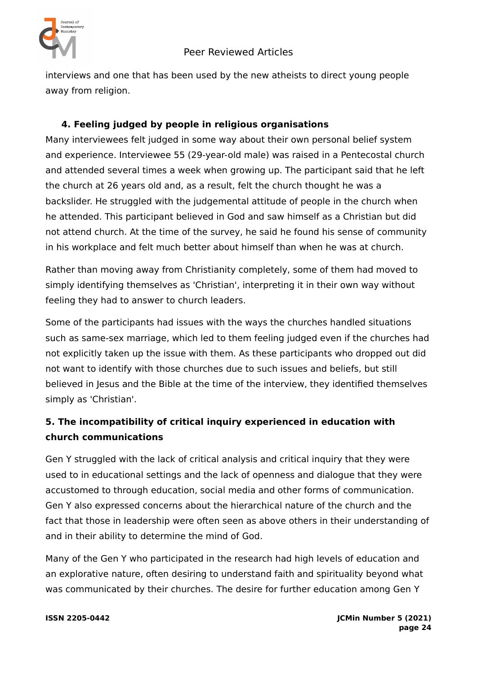

interviews and one that has been used by the new atheists to direct young people away from religion.

### **4. Feeling judged by people in religious organisations**

Many interviewees felt judged in some way about their own personal belief system and experience. Interviewee 55 (29-year-old male) was raised in a Pentecostal church and attended several times a week when growing up. The participant said that he left the church at 26 years old and, as a result, felt the church thought he was a backslider. He struggled with the judgemental attitude of people in the church when he attended. This participant believed in God and saw himself as a Christian but did not attend church. At the time of the survey, he said he found his sense of community in his workplace and felt much better about himself than when he was at church.

Rather than moving away from Christianity completely, some of them had moved to simply identifying themselves as 'Christian', interpreting it in their own way without feeling they had to answer to church leaders.

Some of the participants had issues with the ways the churches handled situations such as same-sex marriage, which led to them feeling judged even if the churches had not explicitly taken up the issue with them. As these participants who dropped out did not want to identify with those churches due to such issues and beliefs, but still believed in Jesus and the Bible at the time of the interview, they identified themselves simply as 'Christian'.

# **5. The incompatibility of critical inquiry experienced in education with church communications**

Gen Y struggled with the lack of critical analysis and critical inquiry that they were used to in educational settings and the lack of openness and dialogue that they were accustomed to through education, social media and other forms of communication. Gen Y also expressed concerns about the hierarchical nature of the church and the fact that those in leadership were often seen as above others in their understanding of and in their ability to determine the mind of God.

Many of the Gen Y who participated in the research had high levels of education and an explorative nature, often desiring to understand faith and spirituality beyond what was communicated by their churches. The desire for further education among Gen Y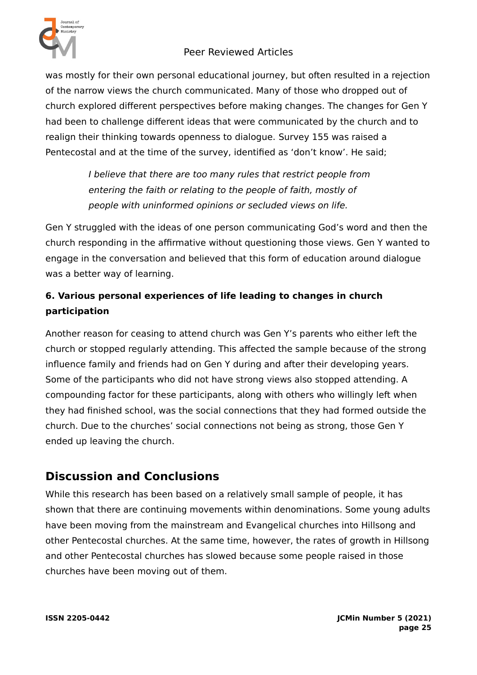

was mostly for their own personal educational journey, but often resulted in a rejection of the narrow views the church communicated. Many of those who dropped out of church explored different perspectives before making changes. The changes for Gen Y had been to challenge different ideas that were communicated by the church and to realign their thinking towards openness to dialogue. Survey 155 was raised a Pentecostal and at the time of the survey, identified as 'don't know'. He said;

> I believe that there are too many rules that restrict people from entering the faith or relating to the people of faith, mostly of people with uninformed opinions or secluded views on life.

Gen Y struggled with the ideas of one person communicating God's word and then the church responding in the affirmative without questioning those views. Gen Y wanted to engage in the conversation and believed that this form of education around dialogue was a better way of learning.

## **6. Various personal experiences of life leading to changes in church participation**

Another reason for ceasing to attend church was Gen Y's parents who either left the church or stopped regularly attending. This affected the sample because of the strong influence family and friends had on Gen Y during and after their developing years. Some of the participants who did not have strong views also stopped attending. A compounding factor for these participants, along with others who willingly left when they had finished school, was the social connections that they had formed outside the church. Due to the churches' social connections not being as strong, those Gen Y ended up leaving the church.

# **Discussion and Conclusions**

While this research has been based on a relatively small sample of people, it has shown that there are continuing movements within denominations. Some young adults have been moving from the mainstream and Evangelical churches into Hillsong and other Pentecostal churches. At the same time, however, the rates of growth in Hillsong and other Pentecostal churches has slowed because some people raised in those churches have been moving out of them.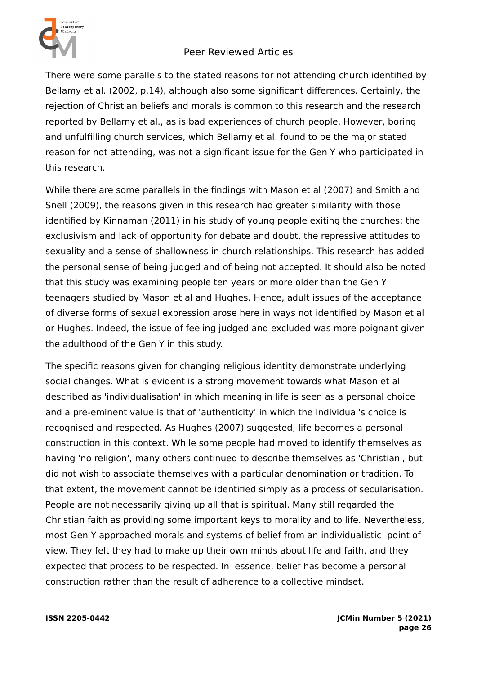

There were some parallels to the stated reasons for not attending church identified by Bellamy et al. (2002, p.14), although also some significant differences. Certainly, the rejection of Christian beliefs and morals is common to this research and the research reported by Bellamy et al., as is bad experiences of church people. However, boring and unfulfilling church services, which Bellamy et al. found to be the major stated reason for not attending, was not a significant issue for the Gen Y who participated in this research.

While there are some parallels in the findings with Mason et al (2007) and Smith and Snell (2009), the reasons given in this research had greater similarity with those identified by Kinnaman (2011) in his study of young people exiting the churches: the exclusivism and lack of opportunity for debate and doubt, the repressive attitudes to sexuality and a sense of shallowness in church relationships. This research has added the personal sense of being judged and of being not accepted. It should also be noted that this study was examining people ten years or more older than the Gen Y teenagers studied by Mason et al and Hughes. Hence, adult issues of the acceptance of diverse forms of sexual expression arose here in ways not identified by Mason et al or Hughes. Indeed, the issue of feeling judged and excluded was more poignant given the adulthood of the Gen Y in this study.

The specific reasons given for changing religious identity demonstrate underlying social changes. What is evident is a strong movement towards what Mason et al described as 'individualisation' in which meaning in life is seen as a personal choice and a pre-eminent value is that of 'authenticity' in which the individual's choice is recognised and respected. As Hughes (2007) suggested, life becomes a personal construction in this context. While some people had moved to identify themselves as having 'no religion', many others continued to describe themselves as 'Christian', but did not wish to associate themselves with a particular denomination or tradition. To that extent, the movement cannot be identified simply as a process of secularisation. People are not necessarily giving up all that is spiritual. Many still regarded the Christian faith as providing some important keys to morality and to life. Nevertheless, most Gen Y approached morals and systems of belief from an individualistic point of view. They felt they had to make up their own minds about life and faith, and they expected that process to be respected. In essence, belief has become a personal construction rather than the result of adherence to a collective mindset.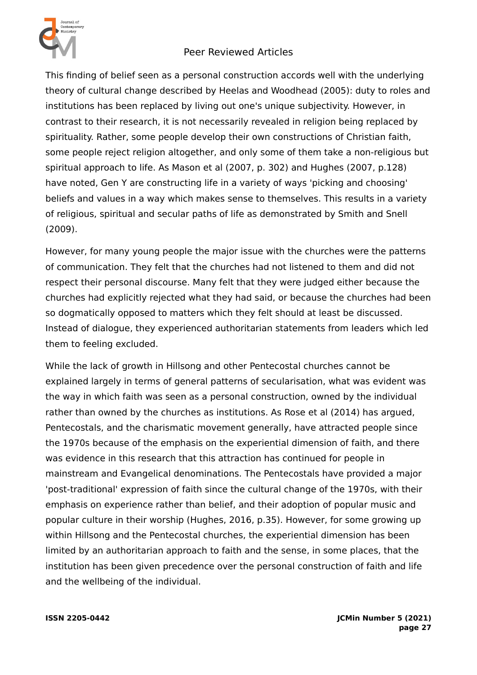

This finding of belief seen as a personal construction accords well with the underlying theory of cultural change described by Heelas and Woodhead (2005): duty to roles and institutions has been replaced by living out one's unique subjectivity. However, in contrast to their research, it is not necessarily revealed in religion being replaced by spirituality. Rather, some people develop their own constructions of Christian faith, some people reject religion altogether, and only some of them take a non-religious but spiritual approach to life. As Mason et al (2007, p. 302) and Hughes (2007, p.128) have noted, Gen Y are constructing life in a variety of ways 'picking and choosing' beliefs and values in a way which makes sense to themselves. This results in a variety of religious, spiritual and secular paths of life as demonstrated by Smith and Snell (2009).

However, for many young people the major issue with the churches were the patterns of communication. They felt that the churches had not listened to them and did not respect their personal discourse. Many felt that they were judged either because the churches had explicitly rejected what they had said, or because the churches had been so dogmatically opposed to matters which they felt should at least be discussed. Instead of dialogue, they experienced authoritarian statements from leaders which led them to feeling excluded.

While the lack of growth in Hillsong and other Pentecostal churches cannot be explained largely in terms of general patterns of secularisation, what was evident was the way in which faith was seen as a personal construction, owned by the individual rather than owned by the churches as institutions. As Rose et al (2014) has argued, Pentecostals, and the charismatic movement generally, have attracted people since the 1970s because of the emphasis on the experiential dimension of faith, and there was evidence in this research that this attraction has continued for people in mainstream and Evangelical denominations. The Pentecostals have provided a major 'post-traditional' expression of faith since the cultural change of the 1970s, with their emphasis on experience rather than belief, and their adoption of popular music and popular culture in their worship (Hughes, 2016, p.35). However, for some growing up within Hillsong and the Pentecostal churches, the experiential dimension has been limited by an authoritarian approach to faith and the sense, in some places, that the institution has been given precedence over the personal construction of faith and life and the wellbeing of the individual.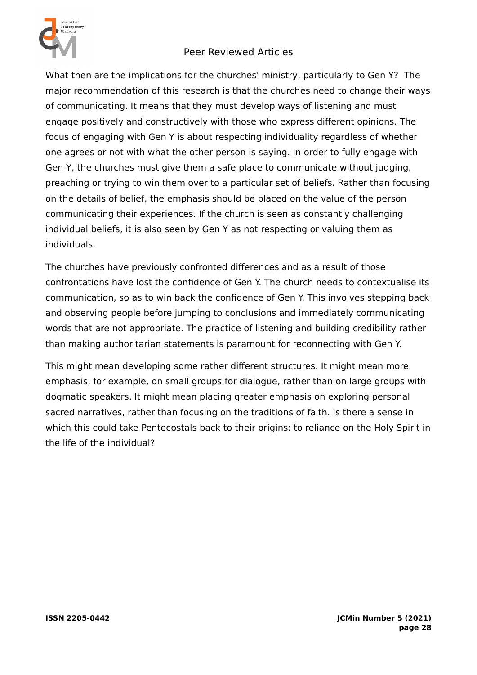

What then are the implications for the churches' ministry, particularly to Gen Y? The major recommendation of this research is that the churches need to change their ways of communicating. It means that they must develop ways of listening and must engage positively and constructively with those who express different opinions. The focus of engaging with Gen Y is about respecting individuality regardless of whether one agrees or not with what the other person is saying. In order to fully engage with Gen Y, the churches must give them a safe place to communicate without judging, preaching or trying to win them over to a particular set of beliefs. Rather than focusing on the details of belief, the emphasis should be placed on the value of the person communicating their experiences. If the church is seen as constantly challenging individual beliefs, it is also seen by Gen Y as not respecting or valuing them as individuals.

The churches have previously confronted differences and as a result of those confrontations have lost the confidence of Gen Y. The church needs to contextualise its communication, so as to win back the confidence of Gen Y. This involves stepping back and observing people before jumping to conclusions and immediately communicating words that are not appropriate. The practice of listening and building credibility rather than making authoritarian statements is paramount for reconnecting with Gen Y.

This might mean developing some rather different structures. It might mean more emphasis, for example, on small groups for dialogue, rather than on large groups with dogmatic speakers. It might mean placing greater emphasis on exploring personal sacred narratives, rather than focusing on the traditions of faith. Is there a sense in which this could take Pentecostals back to their origins: to reliance on the Holy Spirit in the life of the individual?

**ISSN 2205-0442 JCMin Number 5 (2021) page 28**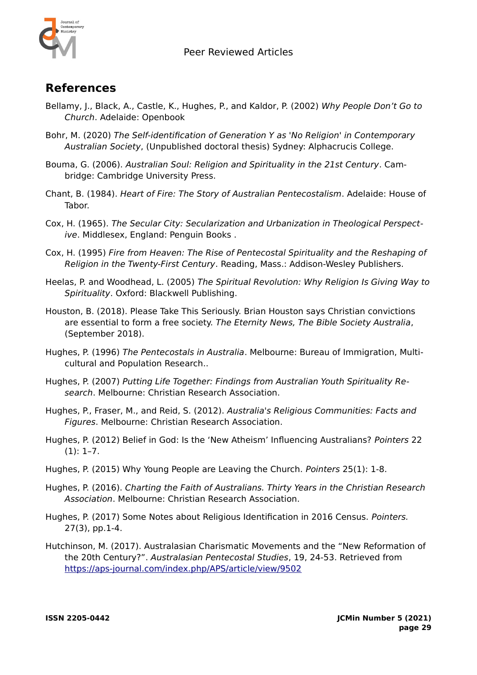

# **References**

- Bellamy, J., Black, A., Castle, K., Hughes, P., and Kaldor, P. (2002) Why People Don't Go to Church. Adelaide: Openbook
- Bohr, M. (2020) The Self-identification of Generation Y as 'No Religion' in Contemporary Australian Society, (Unpublished doctoral thesis) Sydney: Alphacrucis College.
- Bouma, G. (2006). Australian Soul: Religion and Spirituality in the 21st Century. Cambridge: Cambridge University Press.
- Chant, B. (1984). Heart of Fire: The Story of Australian Pentecostalism. Adelaide: House of Tabor.
- Cox, H. (1965). The Secular City: Secularization and Urbanization in Theological Perspective. Middlesex, England: Penguin Books .
- Cox, H. (1995) Fire from Heaven: The Rise of Pentecostal Spirituality and the Reshaping of Religion in the Twenty-First Century. Reading, Mass.: Addison-Wesley Publishers.
- Heelas, P. and Woodhead, L. (2005) The Spiritual Revolution: Why Religion Is Giving Way to Spirituality. Oxford: Blackwell Publishing.
- Houston, B. (2018). Please Take This Seriously. Brian Houston says Christian convictions are essential to form a free society. The Eternity News, The Bible Society Australia, (September 2018).
- Hughes, P. (1996) The Pentecostals in Australia. Melbourne: Bureau of Immigration, Multicultural and Population Research..
- Hughes, P. (2007) Putting Life Together: Findings from Australian Youth Spirituality Research. Melbourne: Christian Research Association.
- Hughes, P., Fraser, M., and Reid, S. (2012). Australia's Religious Communities: Facts and Figures. Melbourne: Christian Research Association.
- Hughes, P. (2012) Belief in God: Is the 'New Atheism' Influencing Australians? Pointers 22  $(1): 1-7.$
- Hughes, P. (2015) Why Young People are Leaving the Church. Pointers 25(1): 1-8.
- Hughes, P. (2016). Charting the Faith of Australians. Thirty Years in the Christian Research Association. Melbourne: Christian Research Association.
- Hughes, P. (2017) Some Notes about Religious Identification in 2016 Census. Pointers. 27(3), pp.1-4.
- Hutchinson, M. (2017). Australasian Charismatic Movements and the "New Reformation of the 20th Century?". Australasian Pentecostal Studies, 19, 24-53. Retrieved from <https://aps-journal.com/index.php/APS/article/view/9502>